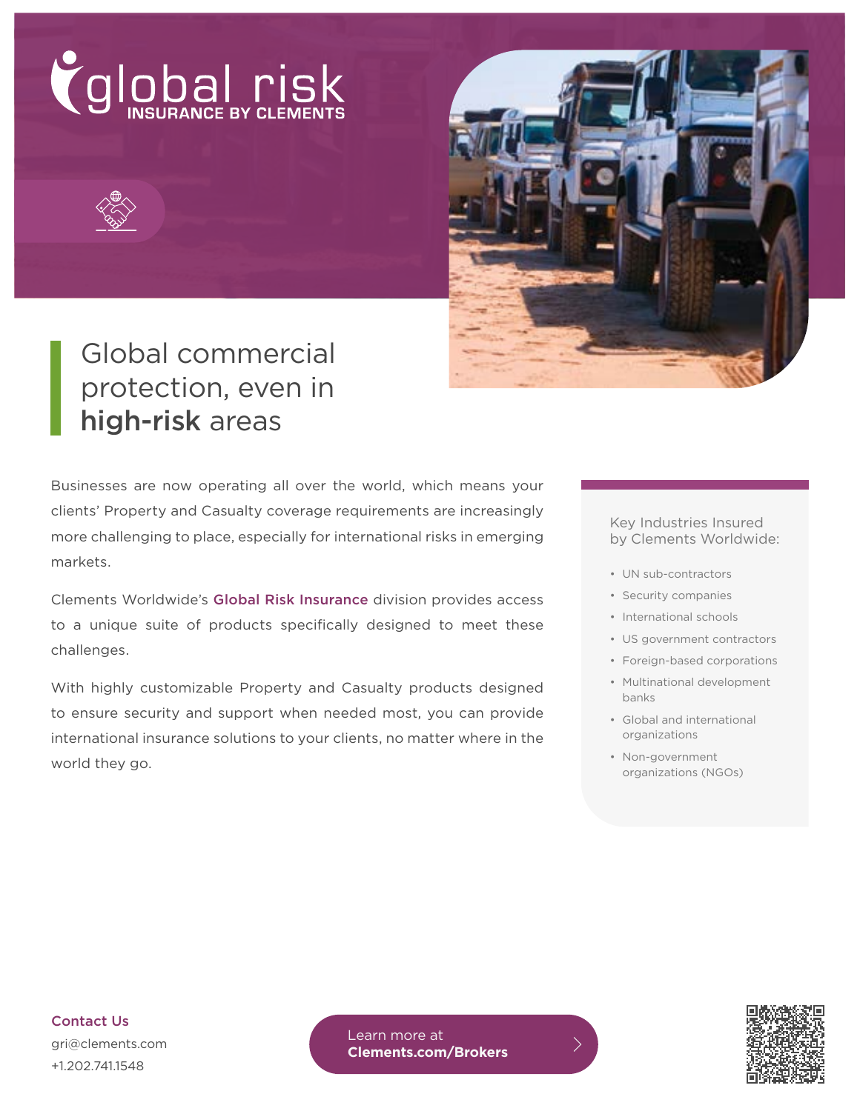



# Global commercial protection, even in high-risk areas

Businesses are now operating all over the world, which means your clients' Property and Casualty coverage requirements are increasingly more challenging to place, especially for international risks in emerging markets.

Clements Worldwide's Global Risk Insurance division provides access to a unique suite of products specifically designed to meet these challenges.

With highly customizable Property and Casualty products designed to ensure security and support when needed most, you can provide international insurance solutions to your clients, no matter where in the world they go.

#### Key Industries Insured by Clements Worldwide:

- UN sub-contractors
- Security companies
- International schools
- US government contractors
- Foreign-based corporations
- Multinational development banks
- Global and international organizations
- Non-government organizations (NGOs)

Contact Us gri@clements.com +1.202.741.1548

Learn more at **[Clements.com/Brokers](https://www.clements.com/wholesale-broker-partnerships?&utm_source=collateral&utm_medium=flyer&utm_campaign=gri&utm_content=vanity)**